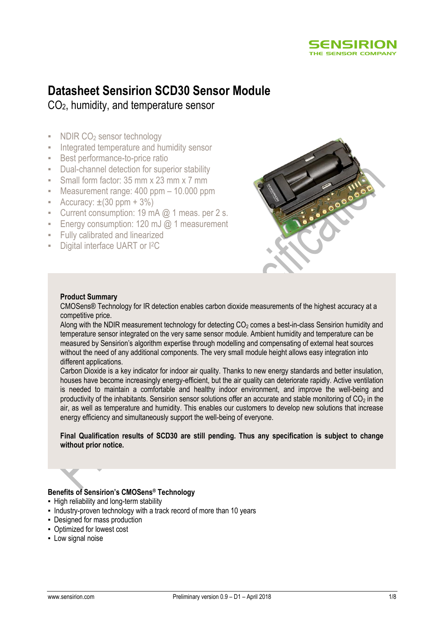

# **Datasheet Sensirion SCD30 Sensor Module**

CO2, humidity, and temperature sensor

- NDIR CO<sub>2</sub> sensor technology
- **EXEC** Integrated temperature and humidity sensor
- Best performance-to-price ratio
- Dual-channel detection for superior stability
- **E** Small form factor: 35 mm x 23 mm x 7 mm
- Measurement range: 400 ppm 10.000 ppm
- **•** Accuracy:  $\pm(30 \text{ ppm} + 3\%)$
- **•** Current consumption: 19 mA  $@$  1 meas. per 2 s.
- Energy consumption: 120 mJ  $@$  1 measurement
- Fully calibrated and linearized
- **Digital interface UART or I<sup>2</sup>C**



#### **Product Summary**

CMOSens® Technology for IR detection enables carbon dioxide measurements of the highest accuracy at a competitive price.

Along with the NDIR measurement technology for detecting  $CO<sub>2</sub>$  comes a best-in-class Sensirion humidity and temperature sensor integrated on the very same sensor module. Ambient humidity and temperature can be measured by Sensirion's algorithm expertise through modelling and compensating of external heat sources without the need of any additional components. The very small module height allows easy integration into different applications.

Carbon Dioxide is a key indicator for indoor air quality. Thanks to new energy standards and better insulation, houses have become increasingly energy-efficient, but the air quality can deteriorate rapidly. Active ventilation is needed to maintain a comfortable and healthy indoor environment, and improve the well-being and productivity of the inhabitants. Sensirion sensor solutions offer an accurate and stable monitoring of  $CO<sub>2</sub>$  in the air, as well as temperature and humidity. This enables our customers to develop new solutions that increase energy efficiency and simultaneously support the well-being of everyone.

**Final Qualification results of SCD30 are still pending. Thus any specification is subject to change without prior notice.**

#### **Benefits of Sensirion's CMOSens® Technology**

- High reliability and long-term stability
- . Industry-proven technology with a track record of more than 10 years
- Designed for mass production
- Optimized for lowest cost
- **-** Low signal noise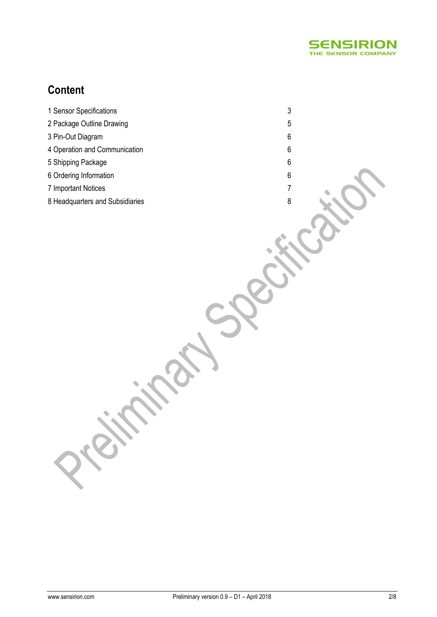

## **Content**

- 1 Sensor Specifications 3
- 2 Package Outline Drawing 5
- 3 Pin-Out Diagram 6
- 4 Operation and Communication 6
- 5 Shipping Package 6
- 6 Ordering Information 6
- 7 Important Notices 7
- 8 Headquarters and Subsidiaries 8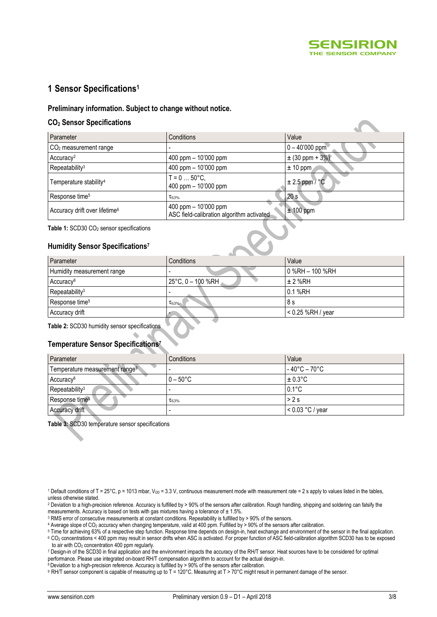

### **1 Sensor Specifications<sup>1</sup>**

#### **Preliminary information. Subject to change without notice.**

#### **CO<sup>2</sup> Sensor Specifications**

<span id="page-2-0"></span>

| Parameter                                            | Conditions                                                          | Value               |
|------------------------------------------------------|---------------------------------------------------------------------|---------------------|
| $CO2$ measurement range                              |                                                                     | $0 - 40'000$ ppm    |
| Accuracy <sup>2</sup>                                | 400 ppm $-$ 10'000 ppm                                              | $\pm$ (30 ppm + 3%) |
| Repeatability <sup>3</sup>                           | 400 ppm - 10'000 ppm                                                | $± 10$ ppm          |
| Temperature stability <sup>4</sup>                   | $T = 0  50^{\circ}C$ ,<br>400 ppm - 10'000 ppm                      | $\pm 2.5$ ppm / °C  |
| Response time <sup>5</sup>                           | $\tau_{63\%}$                                                       | 20s                 |
| Accuracy drift over lifetime <sup>6</sup>            | 400 ppm $-$ 10'000 ppm<br>ASC field-calibration algorithm activated | $± 100$ ppm         |
| Table 1: SCD30 CO <sub>2</sub> sensor specifications |                                                                     |                     |
| Humidity Sensor Specifications <sup>7</sup>          |                                                                     |                     |

#### <span id="page-2-2"></span><span id="page-2-1"></span>**Humidity Sensor Specifications 7**

<span id="page-2-3"></span>

| Conditions                  | Value               |
|-----------------------------|---------------------|
|                             | $0$ %RH $-$ 100 %RH |
| $25^{\circ}$ C, 0 – 100 %RH | $± 2$ %RH           |
|                             | 0.1 %RH             |
| $\tau_{63\%}$               | 8 s                 |
|                             | $<$ 0.25 %RH / year |
|                             |                     |

#### **Table 2:** SCD30 humidity sensor specifications

#### **Temperature Sensor Specification[s](#page-2-2) 7**

| Parameter                                  | Conditions         | Value              |
|--------------------------------------------|--------------------|--------------------|
| Temperature measurement range <sup>9</sup> |                    | ' - 40°C – 70°C    |
| Accuracy <sup>8</sup>                      | $0 - 50^{\circ}$ C | $\pm 0.3$ °C       |
| Repeatability <sup>3</sup>                 |                    | $0.1^{\circ}$ C    |
| Response time <sup>5</sup>                 | $\tau_{63\%}$      | >2s                |
| Accuracy drift                             |                    | $< 0.03 °C$ / year |

**Table 3:** SCD30 temperature sensor specifications

<sup>&</sup>lt;sup>1</sup> Default conditions of T = 25°C, p = 1013 mbar,  $V_{DD}$  = 3.3 V, continuous measurement mode with measurement rate = 2 s apply to values listed in the tables, unless otherwise stated.

<sup>&</sup>lt;sup>2</sup> Deviation to a high-precision reference. Accuracy is fulfilled by > 90% of the sensors after calibration. Rough handling, shipping and soldering can falsify the

measurements. Accuracy is based on tests with gas mixtures having a tolerance of  $\pm$  1.5%.

<sup>3</sup> RMS error of consecutive measurements at constant conditions. Repeatability is fulfilled by > 90% of the sensors.

<sup>&</sup>lt;sup>4</sup> Average slope of CO<sub>2</sub> accuracy when changing temperature, valid at 400 ppm. Fulfilled by > 90% of the sensors after calibration.

<sup>5</sup> Time for achieving 63% of a respective step function. Response time depends on design-in, heat exchange and environment of the sensor in the final application. <sup>6</sup> CO<sup>2</sup> concentrations < 400 ppm may result in sensor drifts when ASC is activated. For proper function of ASC field-calibration algorithm SCD30 has to be exposed to air with  $CO<sub>2</sub>$  concentration 400 ppm regularly.

<sup>7</sup> Design-in of the SCD30 in final application and the environment impacts the accuracy of the RH/T sensor. Heat sources have to be considered for optimal

performance. Please use integrated on-board RH/T compensation algorithm to account for the actual design-in.  $8$  Deviation to a high-precision reference. Accuracy is fulfilled by > 90% of the sensors after calibration.

<sup>9</sup> RH/T sensor component is capable of measuring up to T = 120°C. Measuring at T > 70°C might result in permanent damage of the sensor.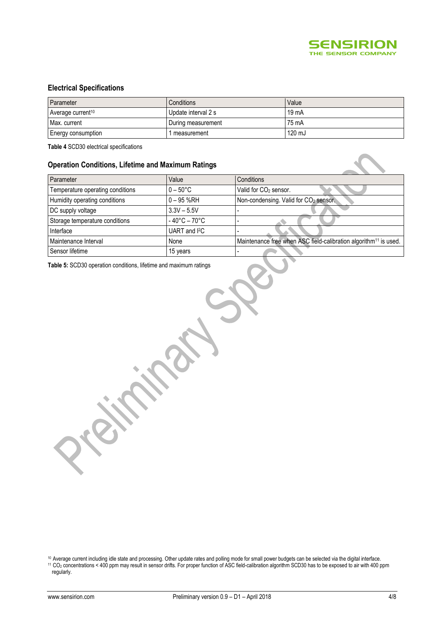

#### **Electrical Specifications**

| Parameter                     | <b>Conditions</b>   | Value  |
|-------------------------------|---------------------|--------|
| Average current <sup>10</sup> | Update interval 2 s | 19 mA  |
| Max. current                  | During measurement  | 75 mA  |
| Energy consumption            | measurement         | 120 mJ |

**Table 4** SCD30 electrical specifications

#### **Operation Conditions, Lifetime and Maximum Ratings**

| Parameter                        | Value                             | Conditions                                                                   |
|----------------------------------|-----------------------------------|------------------------------------------------------------------------------|
| Temperature operating conditions | $0 - 50^{\circ}$ C                | Valid for CO <sub>2</sub> sensor.                                            |
| Humidity operating conditions    | $0 - 95$ %RH                      | Non-condensing. Valid for CO <sub>2</sub> sensor.                            |
| DC supply voltage                | $3.3V - 5.5V$                     |                                                                              |
| Storage temperature conditions   | $-40^{\circ}$ C – 70 $^{\circ}$ C |                                                                              |
| Interface                        | UART and <sup>2</sup> C           |                                                                              |
| Maintenance Interval             | None                              | Maintenance free when ASC field-calibration algorithm <sup>11</sup> is used. |
| Sensor lifetime                  | 15 years                          |                                                                              |

**Table 5:** SCD30 operation conditions, lifetime and maximum ratings

<sup>10</sup> Average current including idle state and processing. Other update rates and polling mode for small power budgets can be selected via the digital interface. <sup>11</sup> CO<sub>2</sub> concentrations < 400 ppm may result in sensor drifts. For proper function of ASC field-calibration algorithm SCD30 has to be exposed to air with 400 ppm regularly.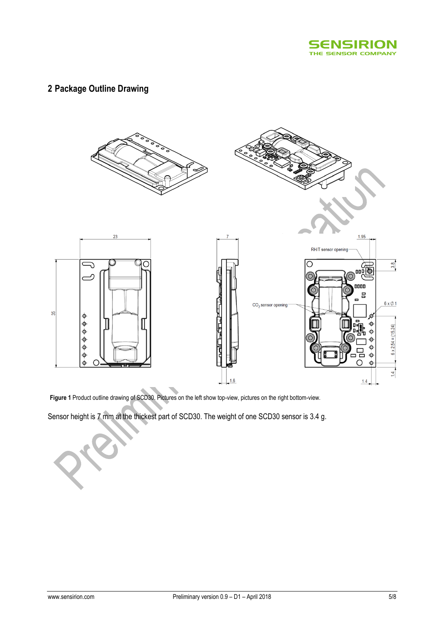

## **2 Package Outline Drawing**



**Figure 1** Product outline drawing of SCD30. Pictures on the left show top-view, pictures on the right bottom-view.

Sensor height is 7 mm at the thickest part of SCD30. The weight of one SCD30 sensor is 3.4 g.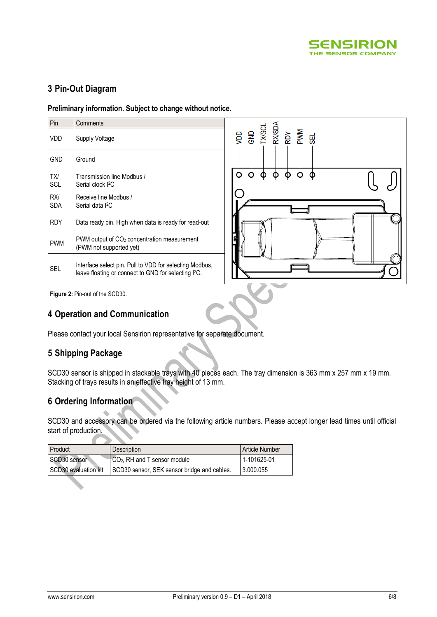

## **3 Pin-Out Diagram**

**Preliminary information. Subject to change without notice.**

| Pin               | Comments                                                                                                                    |
|-------------------|-----------------------------------------------------------------------------------------------------------------------------|
| VDD               | Supply Voltage                                                                                                              |
| GND               | Ground                                                                                                                      |
| TX/<br>SCL        | Transmission line Modbus /<br>Serial clock I <sup>2</sup> C                                                                 |
| RX/<br><b>SDA</b> | Receive line Modbus /<br>Serial data I <sup>2</sup> C                                                                       |
| <b>RDY</b>        | Data ready pin. High when data is ready for read-out                                                                        |
| <b>PWM</b>        | PWM output of CO <sub>2</sub> concentration measurement<br>(PWM not supported yet)                                          |
| <b>SFI</b>        | Interface select pin. Pull to VDD for selecting Modbus,<br>leave floating or connect to GND for selecting I <sup>2</sup> C. |



**Figure 2:** Pin-out of the SCD30.

## **4 Operation and Communication**

Please contact your local Sensirion representative for separate document.

## **5 Shipping Package**

SCD30 sensor is shipped in stackable trays with 40 pieces each. The tray dimension is 363 mm x 257 mm x 19 mm. Stacking of trays results in an effective tray height of 13 mm.

## **6 Ordering Information**

SCD30 and accessory can be ordered via the following article numbers. Please accept longer lead times until official start of production.

| Product              | <b>Description</b>                          | <b>Article Number</b> |
|----------------------|---------------------------------------------|-----------------------|
| SCD30 sensor         | CO <sub>2</sub> , RH and T sensor module    | 1-101625-01           |
| SCD30 evaluation kit | SCD30 sensor, SEK sensor bridge and cables. | 3.000.055             |